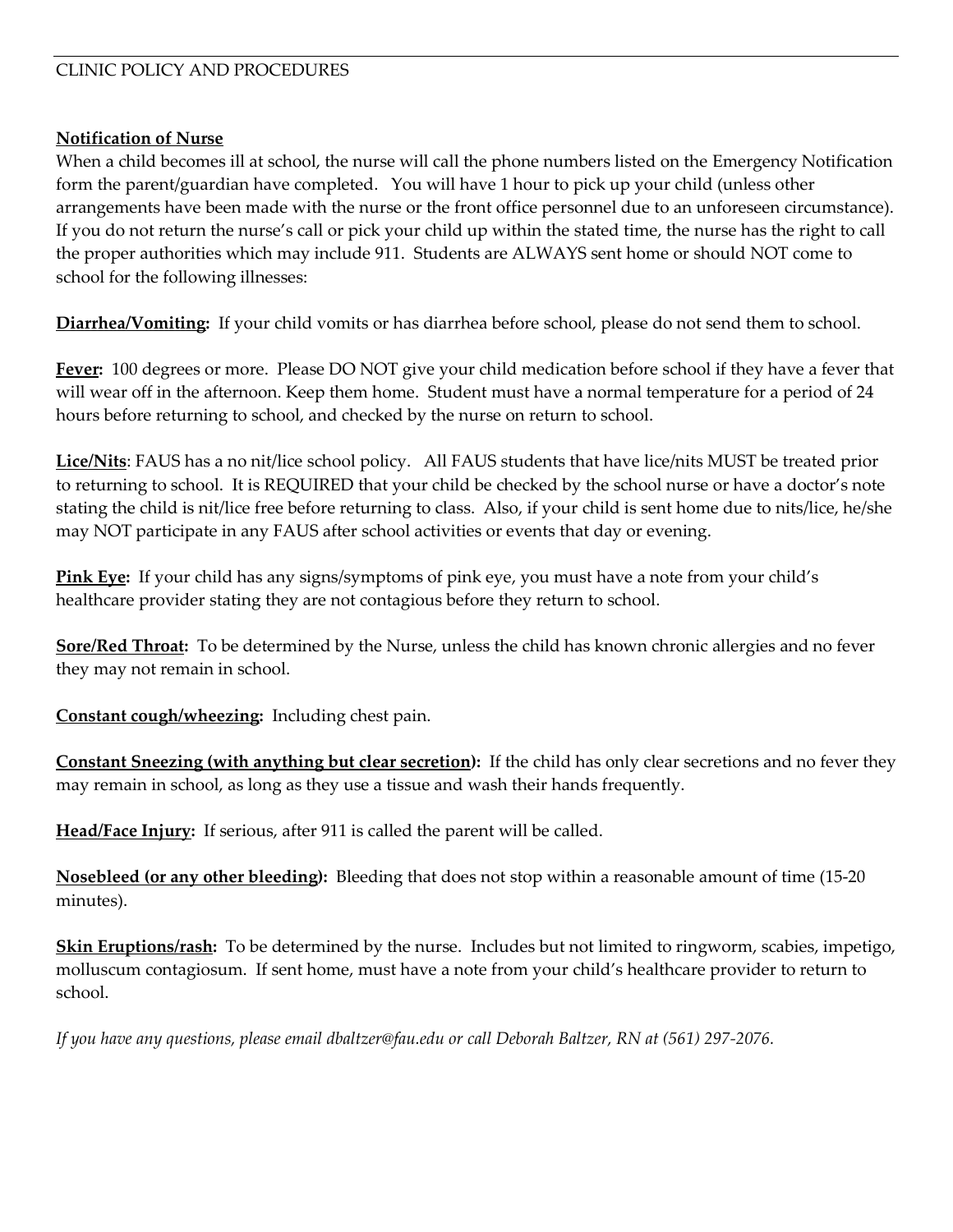## CLINIC POLICY AND PROCEDURES

## **Notification of Nurse**

When a child becomes ill at school, the nurse will call the phone numbers listed on the Emergency Notification form the parent/guardian have completed. You will have 1 hour to pick up your child (unless other arrangements have been made with the nurse or the front office personnel due to an unforeseen circumstance). If you do not return the nurse's call or pick your child up within the stated time, the nurse has the right to call the proper authorities which may include 911. Students are ALWAYS sent home or should NOT come to school for the following illnesses:

**Diarrhea/Vomiting:** If your child vomits or has diarrhea before school, please do not send them to school.

**Fever:** 100 degrees or more. Please DO NOT give your child medication before school if they have a fever that will wear off in the afternoon. Keep them home. Student must have a normal temperature for a period of 24 hours before returning to school, and checked by the nurse on return to school.

**Lice/Nits**: FAUS has a no nit/lice school policy. All FAUS students that have lice/nits MUST be treated prior to returning to school. It is REQUIRED that your child be checked by the school nurse or have a doctor's note stating the child is nit/lice free before returning to class. Also, if your child is sent home due to nits/lice, he/she may NOT participate in any FAUS after school activities or events that day or evening.

**Pink Eye:** If your child has any signs/symptoms of pink eye, you must have a note from your child's healthcare provider stating they are not contagious before they return to school.

**Sore/Red Throat:** To be determined by the Nurse, unless the child has known chronic allergies and no fever they may not remain in school.

**Constant cough/wheezing:** Including chest pain.

**Constant Sneezing (with anything but clear secretion):** If the child has only clear secretions and no fever they may remain in school, as long as they use a tissue and wash their hands frequently.

**Head/Face Injury:** If serious, after 911 is called the parent will be called.

**Nosebleed (or any other bleeding):** Bleeding that does not stop within a reasonable amount of time (15-20 minutes).

**Skin Eruptions/rash:** To be determined by the nurse. Includes but not limited to ringworm, scabies, impetigo, molluscum contagiosum. If sent home, must have a note from your child's healthcare provider to return to school.

*If you have any questions, please email [dbaltzer@fau.edu](mailto:dbaltzer@fau.edu) or call Deborah Baltzer, RN at (561) 297-2076.*